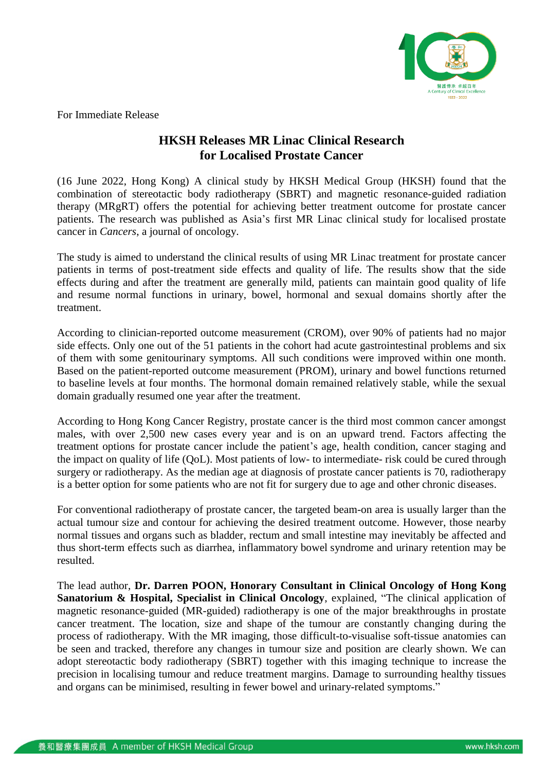

For Immediate Release

# **HKSH Releases MR Linac Clinical Research for Localised Prostate Cancer**

(16 June 2022, Hong Kong) A clinical study by HKSH Medical Group (HKSH) found that the combination of stereotactic body radiotherapy (SBRT) and magnetic resonance-guided radiation therapy (MRgRT) offers the potential for achieving better treatment outcome for prostate cancer patients. The research was published as Asia's first MR Linac clinical study for localised prostate cancer in *Cancers*, a journal of oncology.

The study is aimed to understand the clinical results of using MR Linac treatment for prostate cancer patients in terms of post-treatment side effects and quality of life. The results show that the side effects during and after the treatment are generally mild, patients can maintain good quality of life and resume normal functions in urinary, bowel, hormonal and sexual domains shortly after the treatment.

According to clinician-reported outcome measurement (CROM), over 90% of patients had no major side effects. Only one out of the 51 patients in the cohort had acute gastrointestinal problems and six of them with some genitourinary symptoms. All such conditions were improved within one month. Based on the patient-reported outcome measurement (PROM), urinary and bowel functions returned to baseline levels at four months. The hormonal domain remained relatively stable, while the sexual domain gradually resumed one year after the treatment.

According to Hong Kong Cancer Registry, prostate cancer is the third most common cancer amongst males, with over 2,500 new cases every year and is on an upward trend. Factors affecting the treatment options for prostate cancer include the patient's age, health condition, cancer staging and the impact on quality of life (QoL). Most patients of low- to intermediate- risk could be cured through surgery or radiotherapy. As the median age at diagnosis of prostate cancer patients is 70, radiotherapy is a better option for some patients who are not fit for surgery due to age and other chronic diseases.

For conventional radiotherapy of prostate cancer, the targeted beam-on area is usually larger than the actual tumour size and contour for achieving the desired treatment outcome. However, those nearby normal tissues and organs such as bladder, rectum and small intestine may inevitably be affected and thus short-term effects such as diarrhea, inflammatory bowel syndrome and urinary retention may be resulted.

The lead author, **Dr. Darren POON, Honorary Consultant in Clinical Oncology of Hong Kong Sanatorium & Hospital, Specialist in Clinical Oncology**, explained, "The clinical application of magnetic resonance-guided (MR-guided) radiotherapy is one of the major breakthroughs in prostate cancer treatment. The location, size and shape of the tumour are constantly changing during the process of radiotherapy. With the MR imaging, those difficult-to-visualise soft-tissue anatomies can be seen and tracked, therefore any changes in tumour size and position are clearly shown. We can adopt stereotactic body radiotherapy (SBRT) together with this imaging technique to increase the precision in localising tumour and reduce treatment margins. Damage to surrounding healthy tissues and organs can be minimised, resulting in fewer bowel and urinary-related symptoms."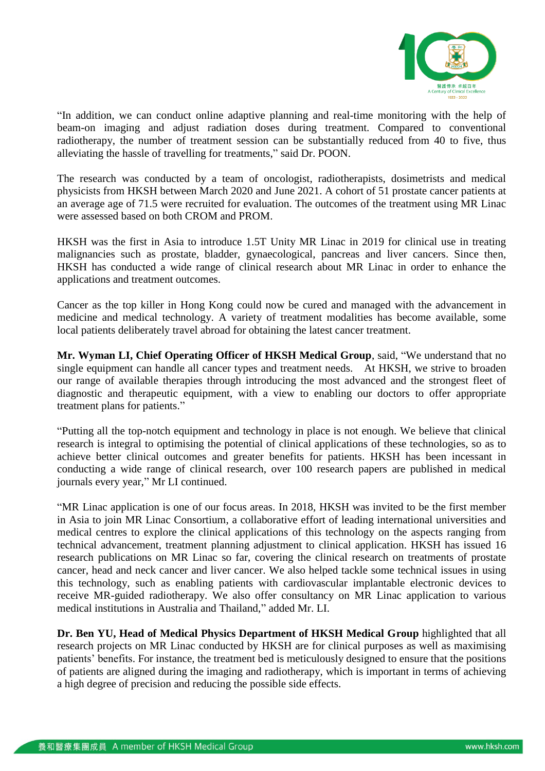

"In addition, we can conduct online adaptive planning and real-time monitoring with the help of beam-on imaging and adjust radiation doses during treatment. Compared to conventional radiotherapy, the number of treatment session can be substantially reduced from 40 to five, thus alleviating the hassle of travelling for treatments," said Dr. POON.

The research was conducted by a team of oncologist, radiotherapists, dosimetrists and medical physicists from HKSH between March 2020 and June 2021. A cohort of 51 prostate cancer patients at an average age of 71.5 were recruited for evaluation. The outcomes of the treatment using MR Linac were assessed based on both CROM and PROM.

HKSH was the first in Asia to introduce 1.5T Unity MR Linac in 2019 for clinical use in treating malignancies such as prostate, bladder, gynaecological, pancreas and liver cancers. Since then, HKSH has conducted a wide range of clinical research about MR Linac in order to enhance the applications and treatment outcomes.

Cancer as the top killer in Hong Kong could now be cured and managed with the advancement in medicine and medical technology. A variety of treatment modalities has become available, some local patients deliberately travel abroad for obtaining the latest cancer treatment.

**Mr. Wyman LI, Chief Operating Officer of HKSH Medical Group**, said, "We understand that no single equipment can handle all cancer types and treatment needs. At HKSH, we strive to broaden our range of available therapies through introducing the most advanced and the strongest fleet of diagnostic and therapeutic equipment, with a view to enabling our doctors to offer appropriate treatment plans for patients."

"Putting all the top-notch equipment and technology in place is not enough. We believe that clinical research is integral to optimising the potential of clinical applications of these technologies, so as to achieve better clinical outcomes and greater benefits for patients. HKSH has been incessant in conducting a wide range of clinical research, over 100 research papers are published in medical journals every year," Mr LI continued.

"MR Linac application is one of our focus areas. In 2018, HKSH was invited to be the first member in Asia to join MR Linac Consortium, a collaborative effort of leading international universities and medical centres to explore the clinical applications of this technology on the aspects ranging from technical advancement, treatment planning adjustment to clinical application. HKSH has issued 16 research publications on MR Linac so far, covering the clinical research on treatments of prostate cancer, head and neck cancer and liver cancer. We also helped tackle some technical issues in using this technology, such as enabling patients with cardiovascular implantable electronic devices to receive MR-guided radiotherapy. We also offer consultancy on MR Linac application to various medical institutions in Australia and Thailand," added Mr. LI.

**Dr. Ben YU, Head of Medical Physics Department of HKSH Medical Group** highlighted that all research projects on MR Linac conducted by HKSH are for clinical purposes as well as maximising patients' benefits. For instance, the treatment bed is meticulously designed to ensure that the positions of patients are aligned during the imaging and radiotherapy, which is important in terms of achieving a high degree of precision and reducing the possible side effects.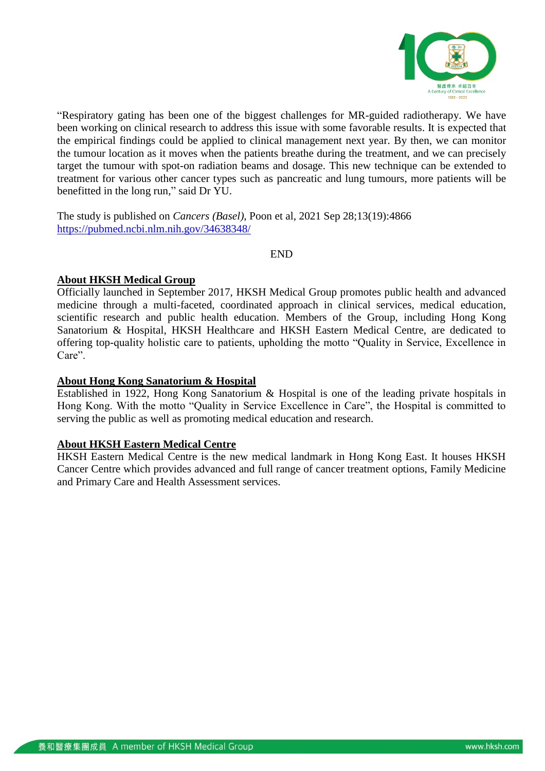

"Respiratory gating has been one of the biggest challenges for MR-guided radiotherapy. We have been working on clinical research to address this issue with some favorable results. It is expected that the empirical findings could be applied to clinical management next year. By then, we can monitor the tumour location as it moves when the patients breathe during the treatment, and we can precisely target the tumour with spot-on radiation beams and dosage. This new technique can be extended to treatment for various other cancer types such as pancreatic and lung tumours, more patients will be benefitted in the long run," said Dr YU.

The study is published on *Cancers (Basel),* Poon et al, 2021 Sep 28;13(19):4866 <https://pubmed.ncbi.nlm.nih.gov/34638348/>

END

## **About HKSH Medical Group**

Officially launched in September 2017, HKSH Medical Group promotes public health and advanced medicine through a multi-faceted, coordinated approach in clinical services, medical education, scientific research and public health education. Members of the Group, including Hong Kong Sanatorium & Hospital, HKSH Healthcare and HKSH Eastern Medical Centre, are dedicated to offering top-quality holistic care to patients, upholding the motto "Quality in Service, Excellence in Care".

## **About Hong Kong Sanatorium & Hospital**

Established in 1922, Hong Kong Sanatorium & Hospital is one of the leading private hospitals in Hong Kong. With the motto "Quality in Service Excellence in Care", the Hospital is committed to serving the public as well as promoting medical education and research.

## **About HKSH Eastern Medical Centre**

HKSH Eastern Medical Centre is the new medical landmark in Hong Kong East. It houses HKSH Cancer Centre which provides advanced and full range of cancer treatment options, Family Medicine and Primary Care and Health Assessment services.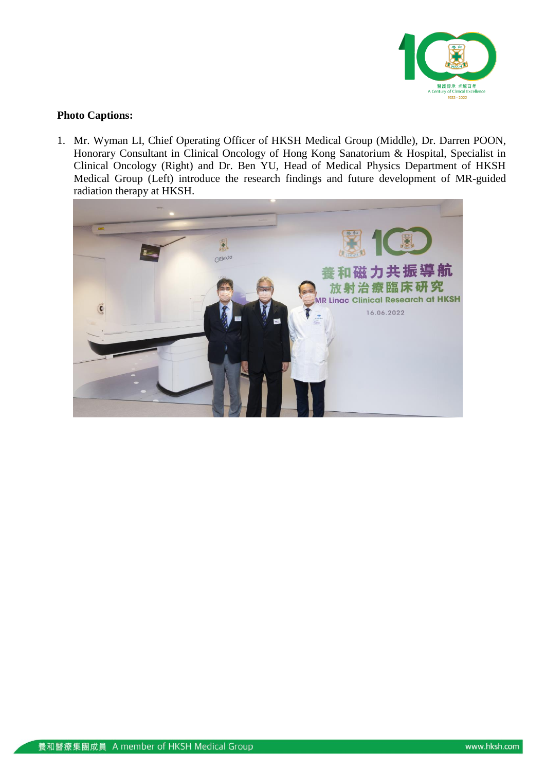

## **Photo Captions:**

1. Mr. Wyman LI, Chief Operating Officer of HKSH Medical Group (Middle), Dr. Darren POON, Honorary Consultant in Clinical Oncology of Hong Kong Sanatorium & Hospital, Specialist in Clinical Oncology (Right) and Dr. Ben YU, Head of Medical Physics Department of HKSH Medical Group (Left) introduce the research findings and future development of MR-guided radiation therapy at HKSH.

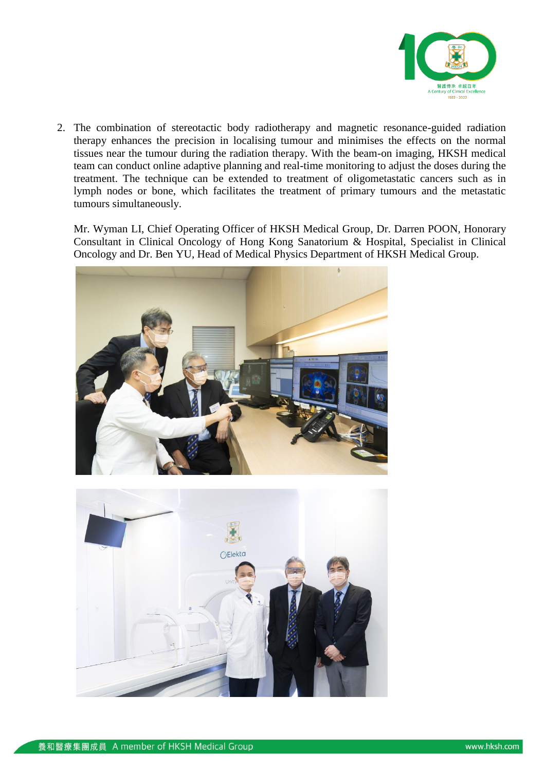

2. The combination of stereotactic body radiotherapy and magnetic resonance-guided radiation therapy enhances the precision in localising tumour and minimises the effects on the normal tissues near the tumour during the radiation therapy. With the beam-on imaging, HKSH medical team can conduct online adaptive planning and real-time monitoring to adjust the doses during the treatment. The technique can be extended to treatment of oligometastatic cancers such as in lymph nodes or bone, which facilitates the treatment of primary tumours and the metastatic tumours simultaneously.

Mr. Wyman LI, Chief Operating Officer of HKSH Medical Group, Dr. Darren POON, Honorary Consultant in Clinical Oncology of Hong Kong Sanatorium & Hospital, Specialist in Clinical Oncology and Dr. Ben YU, Head of Medical Physics Department of HKSH Medical Group.